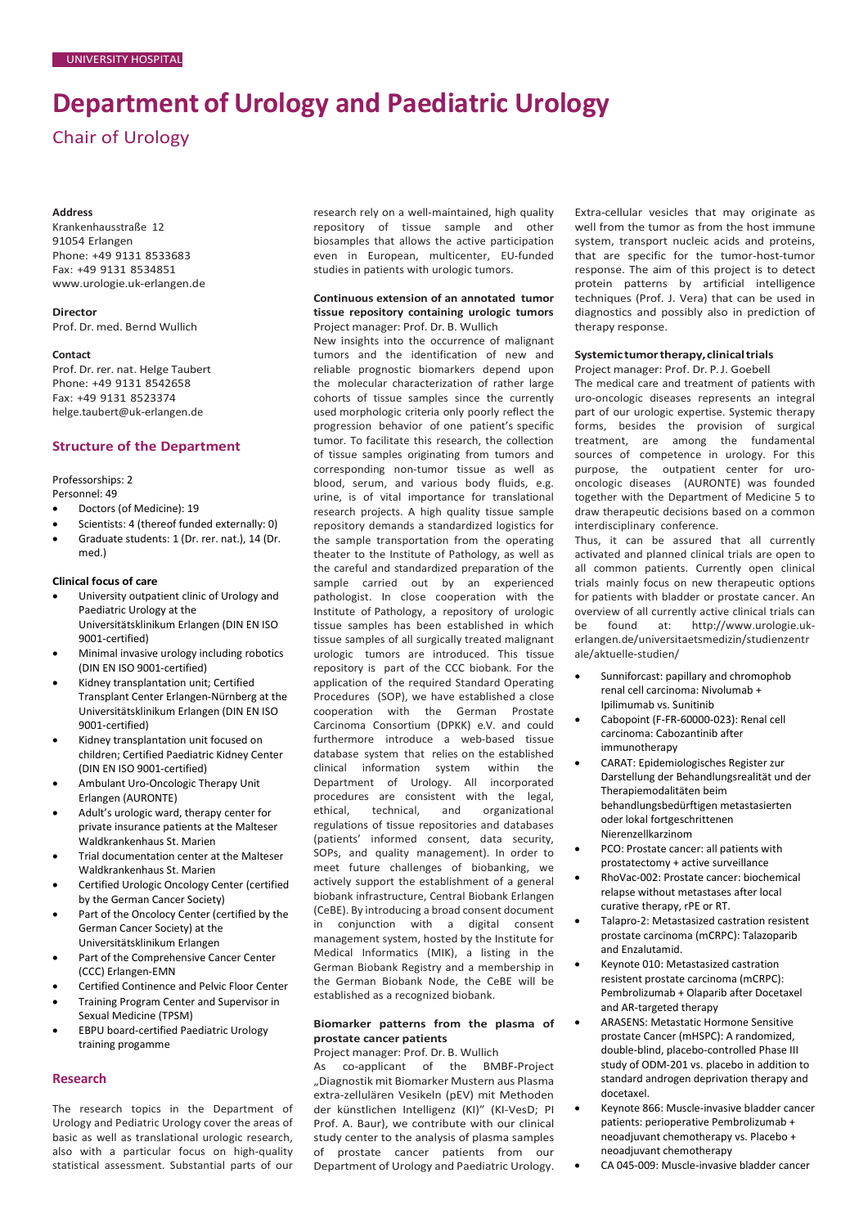# **Department of Urology and Paediatric Urology**

Chair of Urology

#### **Address**

Krankenhausstraße 12 91054 Erlangen Phone: +49 9131 8533683 Fax: +49 9131 8534851 [www.urologie.uk-erlangen.de](http://www.urologie.uk-erlangen.de/)

#### **Director**

Prof. Dr. med. Bernd Wullich

#### **Contact**

Prof. Dr. rer. nat. Helge Taubert Phone: +49 9131 8542658 Fax: +49 9131 8523374 [helge.taubert@uk-erlangen.de](mailto:helge.taubert@uk-erlangen.de)

# **Structure of the Department**

Professorships: 2 Personnel: 49

- Doctors (of Medicine): 19
- Scientists: 4 (thereof funded externally: 0)
- Graduate students: 1 (Dr. rer. nat.), 14 (Dr. med.)

## **Clinical focus of care**

- University outpatient clinic of Urology and Paediatric Urology at the Universitätsklinikum Erlangen (DIN EN ISO 9001-certified)
- Minimal invasive urology including robotics (DIN EN ISO 9001-certified)
- Kidney transplantation unit; Certified Transplant Center Erlangen-Nürnberg at the Universitätsklinikum Erlangen (DIN EN ISO 9001-certified)
- Kidney transplantation unit focused on children; Certified Paediatric Kidney Center (DIN EN ISO 9001-certified)
- Ambulant Uro-Oncologic Therapy Unit Erlangen (AURONTE)
- Adult's urologic ward, therapy center for private insurance patients at the Malteser Waldkrankenhaus St. Marien
- Trial documentation center at the Malteser Waldkrankenhaus St. Marien
- Certified Urologic Oncology Center (certified by the German Cancer Society)
- Part of the Oncolocy Center (certified by the German Cancer Society) at the Universitätsklinikum Erlangen
- Part of the Comprehensive Cancer Center (CCC) Erlangen-EMN
- Certified Continence and Pelvic Floor Center
- Training Program Center and Supervisor in Sexual Medicine (TPSM)
- EBPU board-certified Paediatric Urology training progamme

## **Research**

The research topics in the Department of Urology and Pediatric Urology cover the areas of basic as well as translational urologic research, also with a particular focus on high-quality statistical assessment. Substantial parts of our research rely on a well-maintained, high quality repository of tissue sample and other biosamples that allows the active participation even in European, multicenter, EU-funded studies in patients with urologic tumors.

#### **Continuous extension of an annotated tumor tissue repository containing urologic tumors** Project manager: Prof. Dr. B. Wullich

New insights into the occurrence of malignant tumors and the identification of new and reliable prognostic biomarkers depend upon the molecular characterization of rather large cohorts of tissue samples since the currently used morphologic criteria only poorly reflect the progression behavior of one patient's specific tumor. To facilitate this research, the collection of tissue samples originating from tumors and corresponding non-tumor tissue as well as blood, serum, and various body fluids, e.g. urine, is of vital importance for translational research projects. A high quality tissue sample repository demands a standardized logistics for the sample transportation from the operating theater to the Institute of Pathology, as well as the careful and standardized preparation of the sample carried out by an experienced pathologist. In close cooperation with the Institute of Pathology, a repository of urologic tissue samples has been established in which tissue samples of all surgically treated malignant urologic tumors are introduced. This tissue repository is part of the CCC biobank. For the application of the required Standard Operating Procedures (SOP), we have established a close cooperation with the German Prostate Carcinoma Consortium (DPKK) e.V. and could furthermore introduce a web-based tissue database system that relies on the established clinical information system within the Department of Urology. All incorporated procedures are consistent with the legal,<br>ethical. technical. and organizational organizational regulations of tissue repositories and databases (patients' informed consent, data security, SOPs, and quality management). In order to meet future challenges of biobanking, we actively support the establishment of a general biobank infrastructure, Central Biobank Erlangen (CeBE). By introducing a broad consent document in conjunction with a digital consent management system, hosted by the Institute for Medical Informatics (MIK), a listing in the German Biobank Registry and a membership in the German Biobank Node, the CeBE will be established as a recognized biobank.

# **Biomarker patterns from the plasma of prostate cancer patients**

Project manager: Prof. Dr. B. Wullich

As co-applicant of the BMBF-Project "Diagnostik mit Biomarker Mustern aus Plasma extra-zellulären Vesikeln (pEV) mit Methoden der künstlichen Intelligenz (KI)" (KI-VesD; PI Prof. A. Baur), we contribute with our clinical study center to the analysis of plasma samples of prostate cancer patients from our Department of Urology and Paediatric Urology. Extra-cellular vesicles that may originate as well from the tumor as from the host immune system, transport nucleic acids and proteins, that are specific for the tumor-host-tumor response. The aim of this project is to detect protein patterns by artificial intelligence techniques (Prof. J. Vera) that can be used in diagnostics and possibly also in prediction of therapy response.

#### **Systemictumortherapy,clinicaltrials** Project manager: Prof. Dr. P. J. Goebell

The medical care and treatment of patients with uro-oncologic diseases represents an integral part of our urologic expertise. Systemic therapy forms, besides the provision of surgical treatment, are among the fundamental sources of competence in urology. For this purpose, the outpatient center for urooncologic diseases (AURONTE) was founded together with the Department of Medicine 5 to draw therapeutic decisions based on a common interdisciplinary conference.

Thus, it can be assured that all currently activated and planned clinical trials are open to all common patients. Currently open clinical trials mainly focus on new therapeutic options for patients with bladder or prostate cancer. An overview of all currently active clinical trials can be found at: http://www.urologie.ukerlangen.de/universitaetsmedizin/studienzentr ale/aktuelle-studien/

- Sunniforcast: papillary and chromophob renal cell carcinoma: Nivolumab + Ipilimumab vs. Sunitinib
- Cabopoint (F-FR-60000-023): Renal cell carcinoma: Cabozantinib after immunotherapy
- CARAT: Epidemiologisches Register zur Darstellung der Behandlungsrealität und der Therapiemodalitäten beim behandlungsbedürftigen metastasierten oder lokal fortgeschrittenen Nierenzellkarzinom
- PCO: Prostate cancer: all patients with prostatectomy + active surveillance
- RhoVac-002: Prostate cancer: biochemical relapse without metastases after local curative therapy, rPE or RT.
- Talapro-2: Metastasized castration resistent prostate carcinoma (mCRPC): Talazoparib and Enzalutamid.
- Keynote 010: Metastasized castration resistent prostate carcinoma (mCRPC): Pembrolizumab + Olaparib after Docetaxel and AR-targeted therapy
- ARASENS: Metastatic Hormone Sensitive prostate Cancer (mHSPC): A randomized, double-blind, placebo-controlled Phase III study of ODM-201 vs. placebo in addition to standard androgen deprivation therapy and docetaxel.
- Keynote 866: Muscle-invasive bladder cancer patients: perioperative Pembrolizumab + neoadjuvant chemotherapy vs. Placebo + neoadjuvant chemotherapy
- CA 045-009: Muscle-invasive bladder cancer